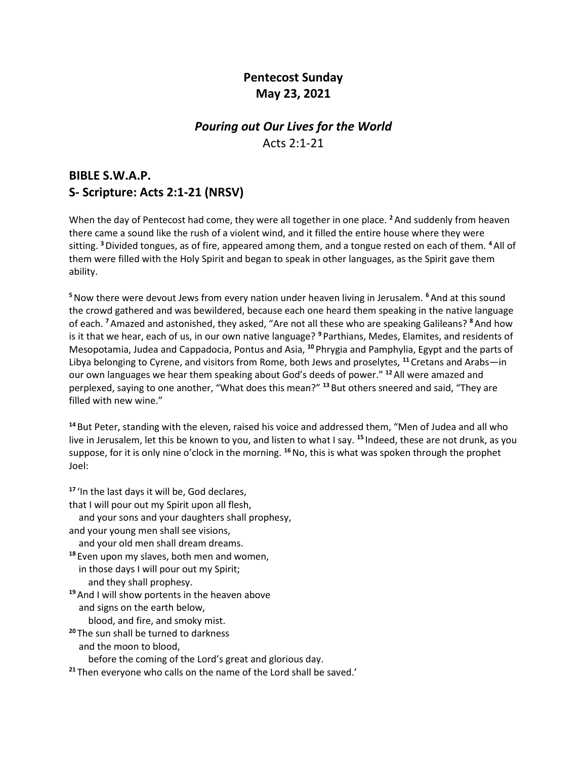# **Pentecost Sunday May 23, 2021**

### *Pouring out Our Lives for the World* Acts 2:1-21

## **BIBLE S.W.A.P. S- Scripture: Acts 2:1-21 (NRSV)**

When the day of Pentecost had come, they were all together in one place. **<sup>2</sup>**And suddenly from heaven there came a sound like the rush of a violent wind, and it filled the entire house where they were sitting. **<sup>3</sup>**Divided tongues, as of fire, appeared among them, and a tongue rested on each of them. **<sup>4</sup>**All of them were filled with the Holy Spirit and began to speak in other languages, as the Spirit gave them ability.

**<sup>5</sup>**Now there were devout Jews from every nation under heaven living in Jerusalem. **<sup>6</sup>**And at this sound the crowd gathered and was bewildered, because each one heard them speaking in the native language of each. **<sup>7</sup>**Amazed and astonished, they asked, "Are not all these who are speaking Galileans? **<sup>8</sup>**And how is it that we hear, each of us, in our own native language? **<sup>9</sup>** Parthians, Medes, Elamites, and residents of Mesopotamia, Judea and Cappadocia, Pontus and Asia, **<sup>10</sup>** Phrygia and Pamphylia, Egypt and the parts of Libya belonging to Cyrene, and visitors from Rome, both Jews and proselytes, **<sup>11</sup>** Cretans and Arabs—in our own languages we hear them speaking about God's deeds of power." **<sup>12</sup>**All were amazed and perplexed, saying to one another, "What does this mean?" **<sup>13</sup>** But others sneered and said, "They are filled with new wine."

**<sup>14</sup>** But Peter, standing with the eleven, raised his voice and addressed them, "Men of Judea and all who live in Jerusalem, let this be known to you, and listen to what I say. **<sup>15</sup>** Indeed, these are not drunk, as you suppose, for it is only nine o'clock in the morning. **<sup>16</sup>**No, this is what was spoken through the prophet Joel:

**<sup>17</sup>** 'In the last days it will be, God declares, that I will pour out my Spirit upon all flesh, and your sons and your daughters shall prophesy, and your young men shall see visions, and your old men shall dream dreams. **<sup>18</sup>** Even upon my slaves, both men and women, in those days I will pour out my Spirit; and they shall prophesy. **<sup>19</sup>**And I will show portents in the heaven above and signs on the earth below, blood, and fire, and smoky mist. **<sup>20</sup>** The sun shall be turned to darkness and the moon to blood, before the coming of the Lord's great and glorious day. **<sup>21</sup>** Then everyone who calls on the name of the Lord shall be saved.'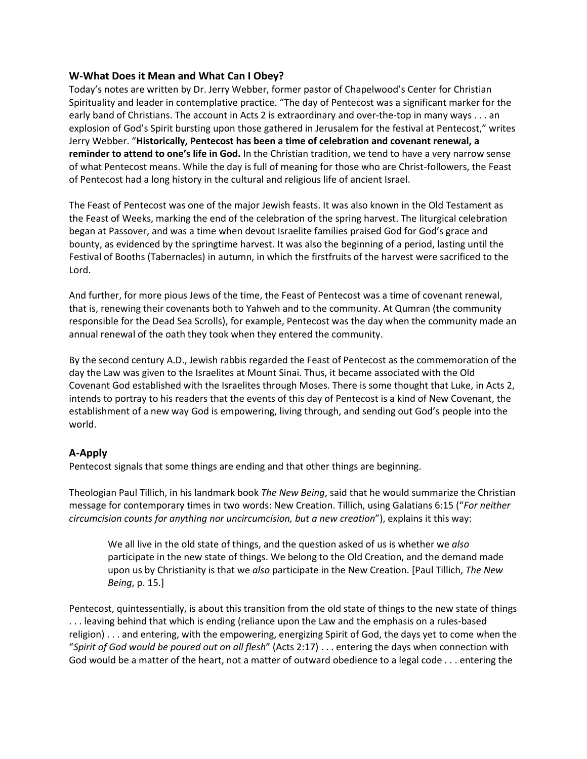#### **W-What Does it Mean and What Can I Obey?**

Today's notes are written by Dr. Jerry Webber, former pastor of Chapelwood's Center for Christian Spirituality and leader in contemplative practice. "The day of Pentecost was a significant marker for the early band of Christians. The account in Acts 2 is extraordinary and over-the-top in many ways . . . an explosion of God's Spirit bursting upon those gathered in Jerusalem for the festival at Pentecost," writes Jerry Webber. "**Historically, Pentecost has been a time of celebration and covenant renewal, a reminder to attend to one's life in God.** In the Christian tradition, we tend to have a very narrow sense of what Pentecost means. While the day is full of meaning for those who are Christ-followers, the Feast of Pentecost had a long history in the cultural and religious life of ancient Israel.

The Feast of Pentecost was one of the major Jewish feasts. It was also known in the Old Testament as the Feast of Weeks, marking the end of the celebration of the spring harvest. The liturgical celebration began at Passover, and was a time when devout Israelite families praised God for God's grace and bounty, as evidenced by the springtime harvest. It was also the beginning of a period, lasting until the Festival of Booths (Tabernacles) in autumn, in which the firstfruits of the harvest were sacrificed to the Lord.

And further, for more pious Jews of the time, the Feast of Pentecost was a time of covenant renewal, that is, renewing their covenants both to Yahweh and to the community. At Qumran (the community responsible for the Dead Sea Scrolls), for example, Pentecost was the day when the community made an annual renewal of the oath they took when they entered the community.

By the second century A.D., Jewish rabbis regarded the Feast of Pentecost as the commemoration of the day the Law was given to the Israelites at Mount Sinai. Thus, it became associated with the Old Covenant God established with the Israelites through Moses. There is some thought that Luke, in Acts 2, intends to portray to his readers that the events of this day of Pentecost is a kind of New Covenant, the establishment of a new way God is empowering, living through, and sending out God's people into the world.

### **A-Apply**

Pentecost signals that some things are ending and that other things are beginning.

Theologian Paul Tillich, in his landmark book *The New Being*, said that he would summarize the Christian message for contemporary times in two words: New Creation. Tillich, using Galatians 6:15 ("*For neither circumcision counts for anything nor uncircumcision, but a new creation*"), explains it this way:

We all live in the old state of things, and the question asked of us is whether we *also* participate in the new state of things. We belong to the Old Creation, and the demand made upon us by Christianity is that we *also* participate in the New Creation. [Paul Tillich, *The New Being*, p. 15.]

Pentecost, quintessentially, is about this transition from the old state of things to the new state of things . . . leaving behind that which is ending (reliance upon the Law and the emphasis on a rules-based religion) . . . and entering, with the empowering, energizing Spirit of God, the days yet to come when the "*Spirit of God would be poured out on all flesh*" (Acts 2:17) . . . entering the days when connection with God would be a matter of the heart, not a matter of outward obedience to a legal code . . . entering the